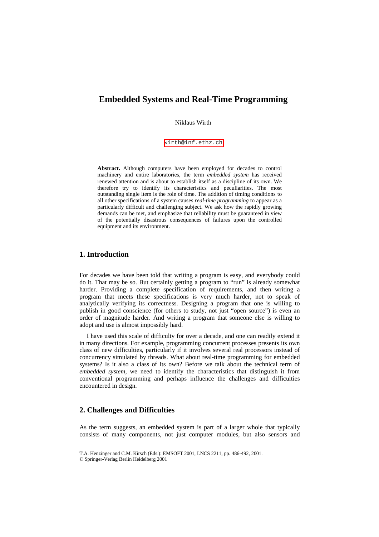# **Embedded Systems and Real-Time Programming**

Niklaus Wirth

[wirth@inf.ethz.ch](mailto:wirth@inf.ethz.ch)

**Abstract.** Although computers have been employed for decades to control machinery and entire laboratories, the term *embedded system* has received renewed attention and is about to establish itself as a discipline of its own. We therefore try to identify its characteristics and peculiarities. The most outstanding single item is the role of time. The addition of timing conditions to all other specifications of a system causes *real-time programming* to appear as a particularly difficult and challenging subject. We ask how the rapidly growing demands can be met, and emphasize that reliability must be guaranteed in view of the potentially disastrous consequences of failures upon the controlled equipment and its environment.

#### **1. Introduction**

For decades we have been told that writing a program is easy, and everybody could do it. That may be so. But certainly getting a program to "run" is already somewhat harder. Providing a complete specification of requirements, and then writing a program that meets these specifications is very much harder, not to speak of analytically verifying its correctness. Designing a program that one is willing to publish in good conscience (for others to study, not just "open source") is even an order of magnitude harder. And writing a program that someone else is willing to adopt and use is almost impossibly hard.

I have used this scale of difficulty for over a decade, and one can readily extend it in many directions. For example, programming concurrent processes presents its own class of new difficulties, particularly if it involves several real processors instead of concurrency simulated by threads. What about real-time programming for embedded systems? Is it also a class of its own? Before we talk about the technical term of *embedded system,* we need to identify the characteristics that distinguish it from conventional programming and perhaps influence the challenges and difficulties encountered in design.

#### **2. Challenges and Difficulties**

As the term suggests, an embedded system is part of a larger whole that typically consists of many components, not just computer modules, but also sensors and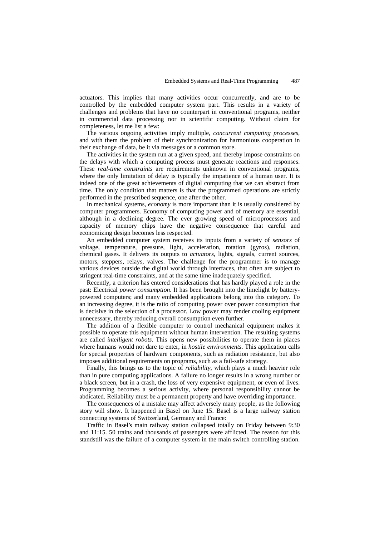actuators. This implies that many activities occur concurrently, and are to be controlled by the embedded computer system part. This results in a variety of challenges and problems that have no counterpart in conventional programs, neither in commercial data processing nor in scientific computing. Without claim for completeness, let me list a few:

The various ongoing activities imply multiple, *concurrent computing processes*, and with them the problem of their synchronization for harmonious cooperation in their exchange of data, be it via messages or a common store.

The activities in the system run at a given speed, and thereby impose constraints on the delays with which a computing process must generate reactions and responses. These *real-time constraints* are requirements unknown in conventional programs, where the only limitation of delay is typically the impatience of a human user. It is indeed one of the great achievements of digital computing that we can abstract from time. The only condition that matters is that the programmed operations are strictly performed in the prescribed sequence, one after the other.

In mechanical systems, *economy* is more important than it is usually considered by computer programmers. Economy of computing power and of memory are essential, although in a declining degree. The ever growing speed of microprocessors and capacity of memory chips have the negative consequence that careful and economizing design becomes less respected.

An embedded computer system receives its inputs from a variety of *sensors* of voltage, temperature, pressure, light, acceleration, rotation (gyros), radiation, chemical gases. It delivers its outputs to *actuators*, lights, signals, current sources, motors, steppers, relays, valves. The challenge for the programmer is to manage various devices outside the digital world through interfaces, that often are subject to stringent real-time constraints, and at the same time inadequately specified.

Recently, a criterion has entered considerations that has hardly played a role in the past: Electrical *power consumption*. It has been brought into the limelight by batterypowered computers; and many embedded applications belong into this category. To an increasing degree, it is the ratio of computing power over power consumption that is decisive in the selection of a processor. Low power may render cooling equipment unnecessary, thereby reducing overall consumption even further.

The addition of a flexible computer to control mechanical equipment makes it possible to operate this equipment without human intervention. The resulting systems are called *intelligent robots*. This opens new possibilities to operate them in places where humans would not dare to enter, in *hostile environments*. This application calls for special properties of hardware components, such as radiation resistance, but also imposes additional requirements on programs, such as a fail-safe strategy.

Finally, this brings us to the topic of *reliability*, which plays a much heavier role than in pure computing applications. A failure no longer results in a wrong number or a black screen, but in a crash, the loss of very expensive equipment, or even of lives. Programming becomes a serious activity, where personal responsibility cannot be abdicated. Reliability must be a permanent property and have overriding importance.

The consequences of a mistake may affect adversely many people, as the following story will show. It happened in Basel on June 15. Basel is a large railway station connecting systems of Switzerland, Germany and France:

Traffic in Basel's main railway station collapsed totally on Friday between 9:30 and 11:15. 50 trains and thousands of passengers were afflicted. The reason for this standstill was the failure of a computer system in the main switch controlling station.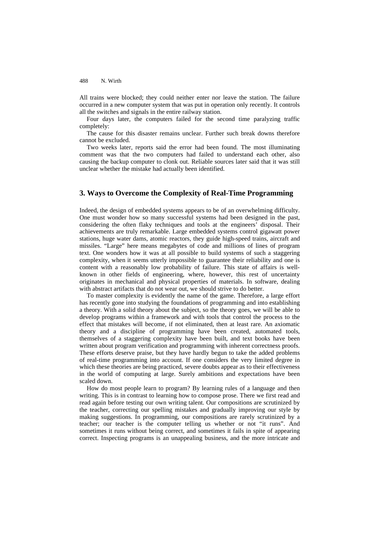All trains were blocked; they could neither enter nor leave the station. The failure occurred in a new computer system that was put in operation only recently. It controls all the switches and signals in the entire railway station.

Four days later, the computers failed for the second time paralyzing traffic completely:

The cause for this disaster remains unclear. Further such break downs therefore cannot be excluded.

Two weeks later, reports said the error had been found. The most illuminating comment was that the two computers had failed to understand each other, also causing the backup computer to clonk out. Reliable sources later said that it was still unclear whether the mistake had actually been identified.

# **3. Ways to Overcome the Complexity of Real-Time Programming**

Indeed, the design of embedded systems appears to be of an overwhelming difficulty. One must wonder how so many successful systems had been designed in the past, considering the often flaky techniques and tools at the engineers' disposal. Their achievements are truly remarkable. Large embedded systems control gigawatt power stations, huge water dams, atomic reactors, they guide high-speed trains, aircraft and missiles. "Large" here means megabytes of code and millions of lines of program text. One wonders how it was at all possible to build systems of such a staggering complexity, when it seems utterly impossible to guarantee their reliability and one is content with a reasonably low probability of failure. This state of affairs is wellknown in other fields of engineering, where, however, this rest of uncertainty originates in mechanical and physical properties of materials. In software, dealing with abstract artifacts that do not wear out, we should strive to do better.

To master complexity is evidently the name of the game. Therefore, a large effort has recently gone into studying the foundations of programming and into establishing a theory. With a solid theory about the subject, so the theory goes, we will be able to develop programs within a framework and with tools that control the process to the effect that mistakes will become, if not eliminated, then at least rare. An axiomatic theory and a discipline of programming have been created, automated tools, themselves of a staggering complexity have been built, and text books have been written about program verification and programming with inherent correctness proofs. These efforts deserve praise, but they have hardly begun to take the added problems of real-time programming into account. If one considers the very limited degree in which these theories are being practiced, severe doubts appear as to their effectiveness in the world of computing at large. Surely ambitions and expectations have been scaled down.

How do most people learn to program? By learning rules of a language and then writing. This is in contrast to learning how to compose prose. There we first read and read again before testing our own writing talent. Our compositions are scrutinized by the teacher, correcting our spelling mistakes and gradually improving our style by making suggestions. In programming, our compositions are rarely scrutinized by a teacher; our teacher is the computer telling us whether or not "it runs". And sometimes it runs without being correct, and sometimes it fails in spite of appearing correct. Inspecting programs is an unappealing business, and the more intricate and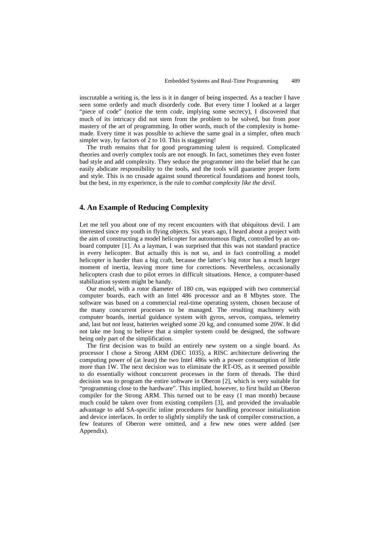inscrutable a writing is, the less is it in danger of being inspected. As a teacher I have seen some orderly and much disorderly code. But every time I looked at a larger "piece of code" (notice the term *code*, implying some secrecy), I discovered that much of its intricacy did not stem from the problem to be solved, but from poor mastery of the art of programming. In other words, much of the complexity is homemade. Every time it was possible to achieve the same goal in a simpler, often much simpler way, by factors of 2 to 10. This is staggering!

The truth remains that for good programming talent is required. Complicated theories and overly complex tools are not enough. In fact, sometimes they even foster bad style and add complexity. They seduce the programmer into the belief that he can easily abdicate responsibility to the tools, and the tools will guarantee proper form and style. This is no crusade against sound theoretical foundations and honest tools, but the best, in my experience, is the rule to *combat complexity like the devil*.

#### **4. An Example of Reducing Complexity**

Let me tell you about one of my recent encounters with that ubiquitous devil. I am interested since my youth in flying objects. Six years ago, I heard about a project with the aim of constructing a model helicopter for autonomous flight, controlled by an onboard computer [1]. As a layman, I was surprised that this was not standard practice in every helicopter. But actually this is not so, and in fact controlling a model helicopter is harder than a big craft, because the latter's big rotor has a much larger moment of inertia, leaving more time for corrections. Nevertheless, occasionally helicopters crash due to pilot errors in difficult situations. Hence, a computer-based stabilization system might be handy.

Our model, with a rotor diameter of 180 cm, was equipped with two commercial computer boards, each with an Intel 486 processor and an 8 Mbytes store. The software was based on a commercial real-time operating system, chosen because of the many concurrent processes to be managed. The resulting machinery with computer boards, inertial guidance system with gyros, servos, compass, telemetry and, last but not least, batteries weighed some 20 kg, and consumed some 20W. It did not take me long to believe that a simpler system could be designed, the software being only part of the simplification.

The first decision was to build an entirely new system on a single board. As processor I chose a Strong ARM (DEC 1035), a RISC architecture delivering the computing power of (at least) the two Intel 486s with a power consumption of little more than 1W. The next decision was to eliminate the RT-OS, as it seemed possible to do essentially without concurrent processes in the form of threads. The third decision was to program the entire software in Oberon [2], which is very suitable for "programming close to the hardware". This implied, however, to first build an Oberon compiler for the Strong ARM. This turned out to be easy (1 man month) because much could be taken over from existing compilers [3], and provided the invaluable advantage to add SA-specific inline procedures for handling processor initialization and device interfaces. In order to slightly simplify the task of compiler construction, a few features of Oberon were omitted, and a few new ones were added (see Appendix).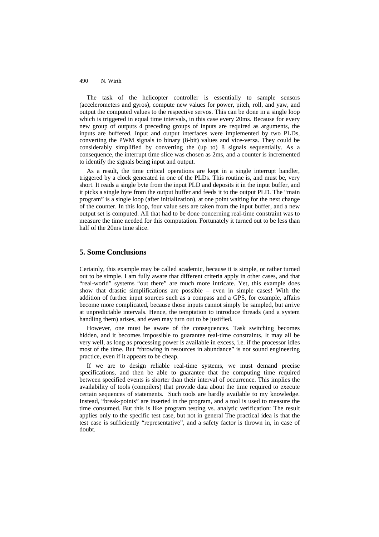The task of the helicopter controller is essentially to sample sensors (accelerometers and gyros), compute new values for power, pitch, roll, and yaw, and output the computed values to the respective servos. This can be done in a single loop which is triggered in equal time intervals, in this case every 20ms. Because for every new group of outputs 4 preceding groups of inputs are required as arguments, the inputs are buffered. Input and output interfaces were implemented by two PLDs, converting the PWM signals to binary (8-bit) values and vice-versa. They could be considerably simplified by converting the (up to) 8 signals sequentially. As a consequence, the interrupt time slice was chosen as 2ms, and a counter is incremented to identify the signals being input and output.

As a result, the time critical operations are kept in a single interrupt handler, triggered by a clock generated in one of the PLDs. This routine is, and must be, very short. It reads a single byte from the input PLD and deposits it in the input buffer, and it picks a single byte from the output buffer and feeds it to the output PLD. The "main program" is a single loop (after initialization), at one point waiting for the next change of the counter. In this loop, four value sets are taken from the input buffer, and a new output set is computed. All that had to be done concerning real-time constraint was to measure the time needed for this computation. Fortunately it turned out to be less than half of the 20ms time slice.

# **5. Some Conclusions**

Certainly, this example may be called academic, because it is simple, or rather turned out to be simple. I am fully aware that different criteria apply in other cases, and that "real-world" systems "out there" are much more intricate. Yet, this example does show that drastic simplifications are possible – even in simple cases! With the addition of further input sources such as a compass and a GPS, for example, affairs become more complicated, because those inputs cannot simply be sampled, but arrive at unpredictable intervals. Hence, the temptation to introduce threads (and a system handling them) arises, and even may turn out to be justified.

However, one must be aware of the consequences. Task switching becomes hidden, and it becomes impossible to guarantee real-time constraints. It may all be very well, as long as processing power is available in excess, i.e. if the processor idles most of the time. But "throwing in resources in abundance" is not sound engineering practice, even if it appears to be cheap.

If we are to design reliable real-time systems, we must demand precise specifications, and then be able to guarantee that the computing time required between specified events is shorter than their interval of occurrence. This implies the availability of tools (compilers) that provide data about the time required to execute certain sequences of statements. Such tools are hardly available to my knowledge. Instead, "break-points" are inserted in the program, and a tool is used to measure the time consumed. But this is like program testing vs. analytic verification: The result applies only to the specific test case, but not in general The practical idea is that the test case is sufficiently "representative", and a safety factor is thrown in, in case of doubt.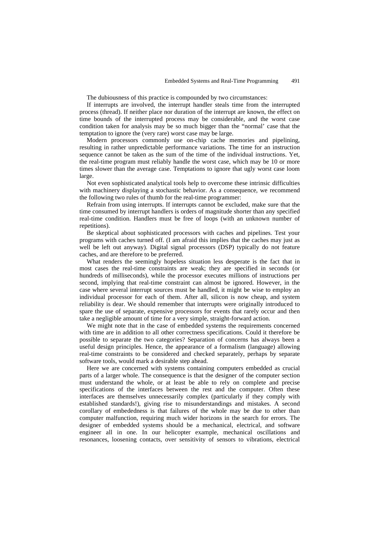The dubiousness of this practice is compounded by two circumstances:

If interrupts are involved, the interrupt handler steals time from the interrupted process (thread). If neither place nor duration of the interrupt are known, the effect on time bounds of the interrupted process may be considerable, and the worst case condition taken for analysis may be so much bigger than the "normal' case that the temptation to ignore the (very rare) worst case may be large.

Modern processors commonly use on-chip cache memories and pipelining, resulting in rather unpredictable performance variations. The time for an instruction sequence cannot be taken as the sum of the time of the individual instructions. Yet, the real-time program must reliably handle the worst case, which may be 10 or more times slower than the average case. Temptations to ignore that ugly worst case loom large.

Not even sophisticated analytical tools help to overcome these intrinsic difficulties with machinery displaying a stochastic behavior. As a consequence, we recommend the following two rules of thumb for the real-time programmer:

Refrain from using interrupts. If interrupts cannot be excluded, make sure that the time consumed by interrupt handlers is orders of magnitude shorter than any specified real-time condition. Handlers must be free of loops (with an unknown number of repetitions).

Be skeptical about sophisticated processors with caches and pipelines. Test your programs with caches turned off. (I am afraid this implies that the caches may just as well be left out anyway). Digital signal processors (DSP) typically do not feature caches, and are therefore to be preferred.

What renders the seemingly hopeless situation less desperate is the fact that in most cases the real-time constraints are weak; they are specified in seconds (or hundreds of milliseconds), while the processor executes millions of instructions per second, implying that real-time constraint can almost be ignored. However, in the case where several interrupt sources must be handled, it might be wise to employ an individual processor for each of them. After all, silicon is now cheap, and system reliability is dear. We should remember that interrupts were originally introduced to spare the use of separate, expensive processors for events that rarely occur and then take a negligible amount of time for a very simple, straight-forward action.

We might note that in the case of embedded systems the requirements concerned with time are in addition to all other correctness specifications. Could it therefore be possible to separate the two categories? Separation of concerns has always been a useful design principles. Hence, the appearance of a formalism (language) allowing real-time constraints to be considered and checked separately, perhaps by separate software tools, would mark a desirable step ahead.

Here we are concerned with systems containing computers embedded as crucial parts of a larger whole. The consequence is that the designer of the computer section must understand the whole, or at least be able to rely on complete and precise specifications of the interfaces between the rest and the computer. Often these interfaces are themselves unnecessarily complex (particularly if they comply with established standards!), giving rise to misunderstandings and mistakes. A second corollary of embededness is that failures of the whole may be due to other than computer malfunction, requiring much wider horizons in the search for errors. The designer of embedded systems should be a mechanical, electrical, and software engineer all in one. In our helicopter example, mechanical oscillations and resonances, loosening contacts, over sensitivity of sensors to vibrations, electrical